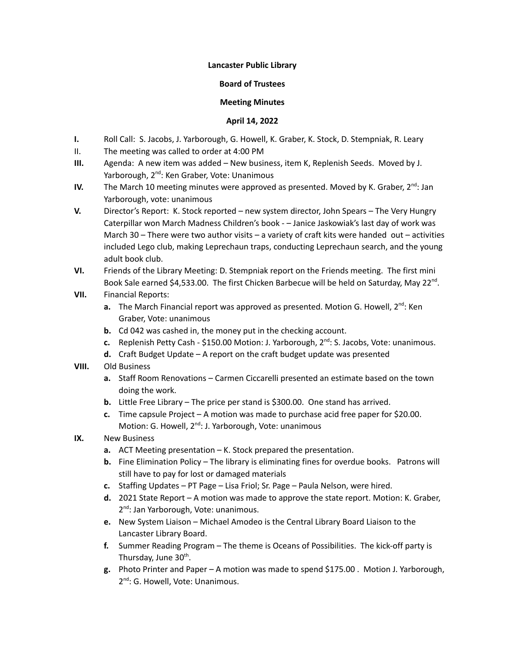## **Lancaster Public Library**

## **Board of Trustees**

## **Meeting Minutes**

## **April 14, 2022**

- **I.** Roll Call: S. Jacobs, J. Yarborough, G. Howell, K. Graber, K. Stock, D. Stempniak, R. Leary
- II. The meeting was called to order at 4:00 PM
- **III.** Agenda: A new item was added New business, item K, Replenish Seeds. Moved by J. Yarborough, 2<sup>nd</sup>: Ken Graber, Vote: Unanimous
- **IV.** The March 10 meeting minutes were approved as presented. Moved by K. Graber, 2<sup>nd</sup>: Jan Yarborough, vote: unanimous
- **V.** Director's Report: K. Stock reported new system director, John Spears The Very Hungry Caterpillar won March Madness Children's book - – Janice Jaskowiak's last day of work was March 30 – There were two author visits – a variety of craft kits were handed out – activities included Lego club, making Leprechaun traps, conducting Leprechaun search, and the young adult book club.
- **VI.** Friends of the Library Meeting: D. Stempniak report on the Friends meeting. The first mini Book Sale earned \$4,533.00. The first Chicken Barbecue will be held on Saturday, May 22<sup>nd</sup>.
- **VII.** Financial Reports:
	- a. The March Financial report was approved as presented. Motion G. Howell, 2<sup>nd</sup>: Ken Graber, Vote: unanimous
	- **b.** Cd 042 was cashed in, the money put in the checking account.
	- c. Replenish Petty Cash \$150.00 Motion: J. Yarborough, 2<sup>nd</sup>: S. Jacobs, Vote: unanimous.
	- **d.** Craft Budget Update A report on the craft budget update was presented
- **VIII.** Old Business
	- **a.** Staff Room Renovations Carmen Ciccarelli presented an estimate based on the town doing the work.
	- **b.** Little Free Library The price per stand is \$300.00. One stand has arrived.
	- **c.** Time capsule Project A motion was made to purchase acid free paper for \$20.00. Motion: G. Howell, 2<sup>nd</sup>: J. Yarborough, Vote: unanimous
- **IX.** New Business
	- **a.** ACT Meeting presentation K. Stock prepared the presentation.
	- **b.** Fine Elimination Policy The library is eliminating fines for overdue books. Patrons will still have to pay for lost or damaged materials
	- **c.** Staffing Updates PT Page Lisa Friol; Sr. Page Paula Nelson, were hired.
	- **d.** 2021 State Report A motion was made to approve the state report. Motion: K. Graber, 2<sup>nd</sup>: Jan Yarborough, Vote: unanimous.
	- **e.** New System Liaison Michael Amodeo is the Central Library Board Liaison to the Lancaster Library Board.
	- **f.** Summer Reading Program The theme is Oceans of Possibilities. The kick-off party is Thursday, June 30<sup>th</sup>.
	- **g.** Photo Printer and Paper A motion was made to spend \$175.00 . Motion J. Yarborough, 2<sup>nd</sup>: G. Howell, Vote: Unanimous.